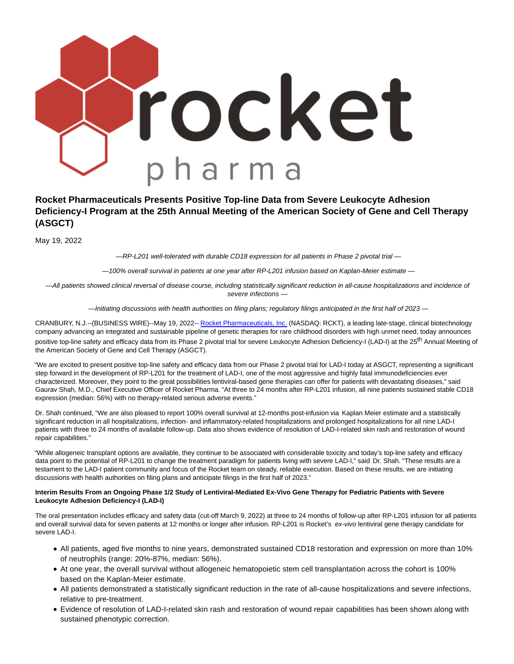

# **Rocket Pharmaceuticals Presents Positive Top-line Data from Severe Leukocyte Adhesion Deficiency-I Program at the 25th Annual Meeting of the American Society of Gene and Cell Therapy (ASGCT)**

May 19, 2022

— RP-L201 well-tolerated with durable CD18 expression for all patients in Phase 2 pivotal trial —

— 100% overall survival in patients at one year after RP-L201 infusion based on Kaplan-Meier estimate —

— All patients showed clinical reversal of disease course, including statistically significant reduction in all-cause hospitalizations and incidence of severe infections —

— Initiating discussions with health authorities on filing plans; regulatory filings anticipated in the first half of 2023 —

CRANBURY, N.J.--(BUSINESS WIRE)--May 19, 2022-- [Rocket Pharmaceuticals, Inc. \(](https://cts.businesswire.com/ct/CT?id=smartlink&url=https%3A%2F%2Frocketpharma.com%2F&esheet=52724210&newsitemid=20220519005420&lan=en-US&anchor=Rocket+Pharmaceuticals%2C+Inc.&index=1&md5=493928c595beef8b0f4e499f3905ae59)NASDAQ: RCKT), a leading late-stage, clinical biotechnology company advancing an integrated and sustainable pipeline of genetic therapies for rare childhood disorders with high unmet need, today announces positive top-line safety and efficacy data from its Phase 2 pivotal trial for severe Leukocyte Adhesion Deficiency-I (LAD-I) at the 25<sup>th</sup> Annual Meeting of the American Society of Gene and Cell Therapy (ASGCT).

"We are excited to present positive top-line safety and efficacy data from our Phase 2 pivotal trial for LAD-I today at ASGCT, representing a significant step forward in the development of RP-L201 for the treatment of LAD-I, one of the most aggressive and highly fatal immunodeficiencies ever characterized. Moreover, they point to the great possibilities lentiviral-based gene therapies can offer for patients with devastating diseases," said Gaurav Shah, M.D., Chief Executive Officer of Rocket Pharma. "At three to 24 months after RP-L201 infusion, all nine patients sustained stable CD18 expression (median: 56%) with no therapy-related serious adverse events."

Dr. Shah continued, "We are also pleased to report 100% overall survival at 12-months post-infusion via Kaplan Meier estimate and a statistically significant reduction in all hospitalizations, infection- and inflammatory-related hospitalizations and prolonged hospitalizations for all nine LAD-I patients with three to 24 months of available follow-up. Data also shows evidence of resolution of LAD-I-related skin rash and restoration of wound repair capabilities."

"While allogeneic transplant options are available, they continue to be associated with considerable toxicity and today's top-line safety and efficacy data point to the potential of RP-L201 to change the treatment paradigm for patients living with severe LAD-I," said Dr. Shah. "These results are a testament to the LAD-I patient community and focus of the Rocket team on steady, reliable execution. Based on these results, we are initiating discussions with health authorities on filing plans and anticipate filings in the first half of 2023."

## **Interim Results From an Ongoing Phase 1/2 Study of Lentiviral-Mediated Ex-Vivo Gene Therapy for Pediatric Patients with Severe Leukocyte Adhesion Deficiency-I (LAD-I)**

The oral presentation includes efficacy and safety data (cut-off March 9, 2022) at three to 24 months of follow-up after RP-L201 infusion for all patients and overall survival data for seven patients at 12 months or longer after infusion. RP-L201 is Rocket's ex-vivo lentiviral gene therapy candidate for severe LAD-I.

- All patients, aged five months to nine years, demonstrated sustained CD18 restoration and expression on more than 10% of neutrophils (range: 20%-87%, median: 56%).
- At one year, the overall survival without allogeneic hematopoietic stem cell transplantation across the cohort is 100% based on the Kaplan-Meier estimate.
- All patients demonstrated a statistically significant reduction in the rate of all-cause hospitalizations and severe infections, relative to pre-treatment.
- Evidence of resolution of LAD-I-related skin rash and restoration of wound repair capabilities has been shown along with sustained phenotypic correction.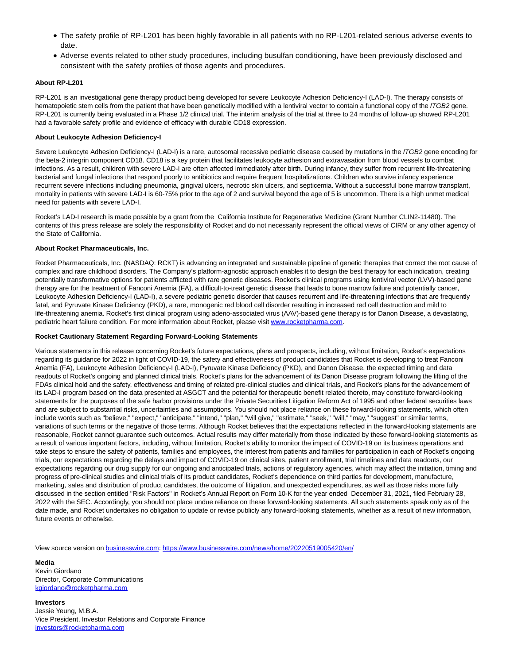- The safety profile of RP-L201 has been highly favorable in all patients with no RP-L201-related serious adverse events to date.
- Adverse events related to other study procedures, including busulfan conditioning, have been previously disclosed and consistent with the safety profiles of those agents and procedures.

# **About RP-L201**

RP-L201 is an investigational gene therapy product being developed for severe Leukocyte Adhesion Deficiency-I (LAD-I). The therapy consists of hematopoietic stem cells from the patient that have been genetically modified with a lentiviral vector to contain a functional copy of the ITGB2 gene. RP-L201 is currently being evaluated in a Phase 1/2 clinical trial. The interim analysis of the trial at three to 24 months of follow-up showed RP-L201 had a favorable safety profile and evidence of efficacy with durable CD18 expression.

## **About Leukocyte Adhesion Deficiency-I**

Severe Leukocyte Adhesion Deficiency-I (LAD-I) is a rare, autosomal recessive pediatric disease caused by mutations in the ITGB2 gene encoding for the beta-2 integrin component CD18. CD18 is a key protein that facilitates leukocyte adhesion and extravasation from blood vessels to combat infections. As a result, children with severe LAD-I are often affected immediately after birth. During infancy, they suffer from recurrent life-threatening bacterial and fungal infections that respond poorly to antibiotics and require frequent hospitalizations. Children who survive infancy experience recurrent severe infections including pneumonia, gingival ulcers, necrotic skin ulcers, and septicemia. Without a successful bone marrow transplant, mortality in patients with severe LAD-I is 60-75% prior to the age of 2 and survival beyond the age of 5 is uncommon. There is a high unmet medical need for patients with severe LAD-I.

Rocket's LAD-I research is made possible by a grant from the California Institute for Regenerative Medicine (Grant Number CLIN2-11480). The contents of this press release are solely the responsibility of Rocket and do not necessarily represent the official views of CIRM or any other agency of the State of California.

## **About Rocket Pharmaceuticals, Inc.**

Rocket Pharmaceuticals, Inc. (NASDAQ: RCKT) is advancing an integrated and sustainable pipeline of genetic therapies that correct the root cause of complex and rare childhood disorders. The Company's platform-agnostic approach enables it to design the best therapy for each indication, creating potentially transformative options for patients afflicted with rare genetic diseases. Rocket's clinical programs using lentiviral vector (LVV)-based gene therapy are for the treatment of Fanconi Anemia (FA), a difficult-to-treat genetic disease that leads to bone marrow failure and potentially cancer, Leukocyte Adhesion Deficiency-I (LAD-I), a severe pediatric genetic disorder that causes recurrent and life-threatening infections that are frequently fatal, and Pyruvate Kinase Deficiency (PKD), a rare, monogenic red blood cell disorder resulting in increased red cell destruction and mild to life-threatening anemia. Rocket's first clinical program using adeno-associated virus (AAV)-based gene therapy is for Danon Disease, a devastating, pediatric heart failure condition. For more information about Rocket, please visit [www.rocketpharma.com.](https://cts.businesswire.com/ct/CT?id=smartlink&url=http%3A%2F%2Fwww.rocketpharma.com&esheet=52724210&newsitemid=20220519005420&lan=en-US&anchor=www.rocketpharma.com&index=2&md5=996a163c3af5c25737944164bd68c27c)

## **Rocket Cautionary Statement Regarding Forward-Looking Statements**

Various statements in this release concerning Rocket's future expectations, plans and prospects, including, without limitation, Rocket's expectations regarding its guidance for 2022 in light of COVID-19, the safety and effectiveness of product candidates that Rocket is developing to treat Fanconi Anemia (FA), Leukocyte Adhesion Deficiency-I (LAD-I), Pyruvate Kinase Deficiency (PKD), and Danon Disease, the expected timing and data readouts of Rocket's ongoing and planned clinical trials, Rocket's plans for the advancement of its Danon Disease program following the lifting of the FDA's clinical hold and the safety, effectiveness and timing of related pre-clinical studies and clinical trials, and Rocket's plans for the advancement of its LAD-I program based on the data presented at ASGCT and the potential for therapeutic benefit related thereto, may constitute forward-looking statements for the purposes of the safe harbor provisions under the Private Securities Litigation Reform Act of 1995 and other federal securities laws and are subject to substantial risks, uncertainties and assumptions. You should not place reliance on these forward-looking statements, which often include words such as "believe," "expect," "anticipate," "intend," "plan," "will give," "estimate," "seek," "will," "may," "suggest" or similar terms, variations of such terms or the negative of those terms. Although Rocket believes that the expectations reflected in the forward-looking statements are reasonable, Rocket cannot guarantee such outcomes. Actual results may differ materially from those indicated by these forward-looking statements as a result of various important factors, including, without limitation, Rocket's ability to monitor the impact of COVID-19 on its business operations and take steps to ensure the safety of patients, families and employees, the interest from patients and families for participation in each of Rocket's ongoing trials, our expectations regarding the delays and impact of COVID-19 on clinical sites, patient enrollment, trial timelines and data readouts, our expectations regarding our drug supply for our ongoing and anticipated trials, actions of regulatory agencies, which may affect the initiation, timing and progress of pre-clinical studies and clinical trials of its product candidates, Rocket's dependence on third parties for development, manufacture, marketing, sales and distribution of product candidates, the outcome of litigation, and unexpected expenditures, as well as those risks more fully discussed in the section entitled "Risk Factors" in Rocket's Annual Report on Form 10-K for the year ended December 31, 2021, filed February 28, 2022 with the SEC. Accordingly, you should not place undue reliance on these forward-looking statements. All such statements speak only as of the date made, and Rocket undertakes no obligation to update or revise publicly any forward-looking statements, whether as a result of new information, future events or otherwise.

View source version on [businesswire.com:](http://businesswire.com/)<https://www.businesswire.com/news/home/20220519005420/en/>

**Media** Kevin Giordano Director, Corporate Communications [kgiordano@rocketpharma.com](mailto:kgiordano@rocketpharma.com)

**Investors** Jessie Yeung, M.B.A. Vice President, Investor Relations and Corporate Finance [investors@rocketpharma.com](mailto:investors@rocketpharma.com)